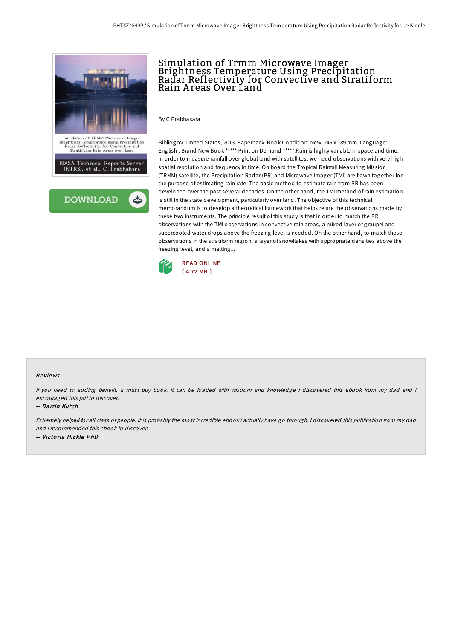

# Simulation of Trmm Microwave Imager Brightness Temperature Using Precipitation Radar Reflectivity for Convective and Stratiform Rain A reas Over Land

By C Prabhakara

Bibliogov, United States, 2013. Paperback. Book Condition: New. 246 x 189 mm. Language: English . Brand New Book \*\*\*\*\* Print on Demand \*\*\*\*\*.Rain is highly variable in space and time. In order to measure rainfall over global land with satellites, we need observations with very high spatial resolution and frequency in time. On board the Tropical Rainfall Measuring Mission (TRMM) satellite, the Precipitation Radar (PR) and Microwave Imager (TMI) are flown together for the purpose of estimating rain rate. The basic method to estimate rain from PR has been developed over the past several decades. On the other hand, the TMI method ofrain estimation is still in the state development, particularly over land. The objective of this technical memorandum is to develop a theoretical framework that helps relate the observations made by these two instruments. The principle result of this study is that in order to match the PR observations with the TMI observations in convective rain areas, a mixed layer of graupel and supercooled water drops above the freezing level is needed. On the other hand, to match these observations in the stratiform region, a layer of snowflakes with appropriate densities above the freezing level, and a melting...



### Re views

If you need to adding benefit, <sup>a</sup> must buy book. It can be loaded with wisdom and knowledge <sup>I</sup> discovered this ebook from my dad and i encouraged this pdfto discover.

### -- Darrin Kutch

Extremely helpful for all class of people. It is probably the most incredible ebook i actually have go through. <sup>I</sup> discovered this publication from my dad and i recommended this ebook to discover. -- Victo ria Hickle PhD